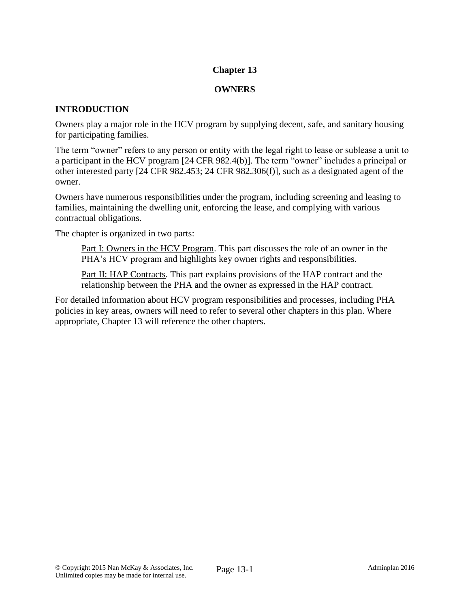## **Chapter 13**

### **OWNERS**

## **INTRODUCTION**

Owners play a major role in the HCV program by supplying decent, safe, and sanitary housing for participating families.

The term "owner" refers to any person or entity with the legal right to lease or sublease a unit to a participant in the HCV program [24 CFR 982.4(b)]. The term "owner" includes a principal or other interested party [24 CFR 982.453; 24 CFR 982.306(f)], such as a designated agent of the owner.

Owners have numerous responsibilities under the program, including screening and leasing to families, maintaining the dwelling unit, enforcing the lease, and complying with various contractual obligations.

The chapter is organized in two parts:

Part I: Owners in the HCV Program. This part discusses the role of an owner in the PHA's HCV program and highlights key owner rights and responsibilities.

Part II: HAP Contracts. This part explains provisions of the HAP contract and the relationship between the PHA and the owner as expressed in the HAP contract.

For detailed information about HCV program responsibilities and processes, including PHA policies in key areas, owners will need to refer to several other chapters in this plan. Where appropriate, Chapter 13 will reference the other chapters.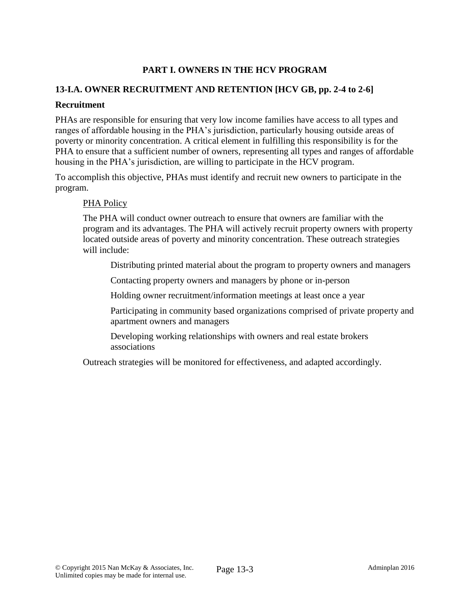# **PART I. OWNERS IN THE HCV PROGRAM**

## **13-I.A. OWNER RECRUITMENT AND RETENTION [HCV GB, pp. 2-4 to 2-6]**

#### **Recruitment**

PHAs are responsible for ensuring that very low income families have access to all types and ranges of affordable housing in the PHA's jurisdiction, particularly housing outside areas of poverty or minority concentration. A critical element in fulfilling this responsibility is for the PHA to ensure that a sufficient number of owners, representing all types and ranges of affordable housing in the PHA's jurisdiction, are willing to participate in the HCV program.

To accomplish this objective, PHAs must identify and recruit new owners to participate in the program.

#### PHA Policy

The PHA will conduct owner outreach to ensure that owners are familiar with the program and its advantages. The PHA will actively recruit property owners with property located outside areas of poverty and minority concentration. These outreach strategies will include:

Distributing printed material about the program to property owners and managers

Contacting property owners and managers by phone or in-person

Holding owner recruitment/information meetings at least once a year

Participating in community based organizations comprised of private property and apartment owners and managers

Developing working relationships with owners and real estate brokers associations

Outreach strategies will be monitored for effectiveness, and adapted accordingly.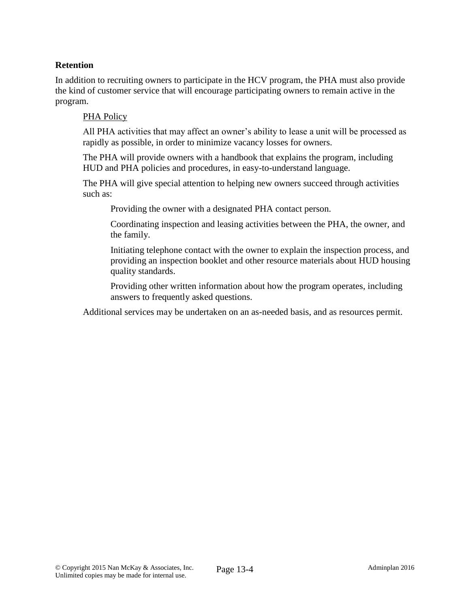## **Retention**

In addition to recruiting owners to participate in the HCV program, the PHA must also provide the kind of customer service that will encourage participating owners to remain active in the program.

#### PHA Policy

All PHA activities that may affect an owner's ability to lease a unit will be processed as rapidly as possible, in order to minimize vacancy losses for owners.

The PHA will provide owners with a handbook that explains the program, including HUD and PHA policies and procedures, in easy-to-understand language.

The PHA will give special attention to helping new owners succeed through activities such as:

Providing the owner with a designated PHA contact person.

Coordinating inspection and leasing activities between the PHA, the owner, and the family.

Initiating telephone contact with the owner to explain the inspection process, and providing an inspection booklet and other resource materials about HUD housing quality standards.

Providing other written information about how the program operates, including answers to frequently asked questions.

Additional services may be undertaken on an as-needed basis, and as resources permit.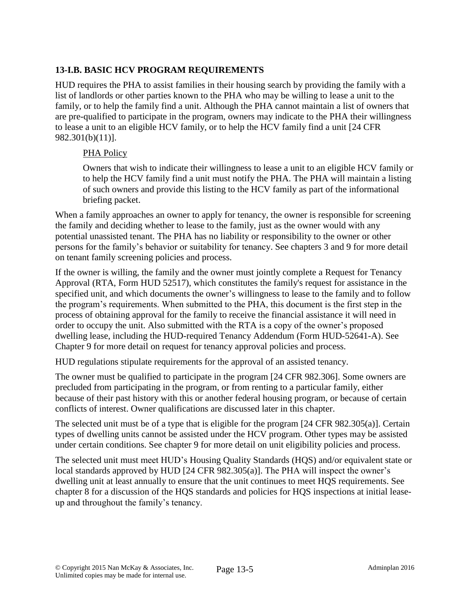# **13-I.B. BASIC HCV PROGRAM REQUIREMENTS**

HUD requires the PHA to assist families in their housing search by providing the family with a list of landlords or other parties known to the PHA who may be willing to lease a unit to the family, or to help the family find a unit. Although the PHA cannot maintain a list of owners that are pre-qualified to participate in the program, owners may indicate to the PHA their willingness to lease a unit to an eligible HCV family, or to help the HCV family find a unit [24 CFR 982.301(b)(11)].

### PHA Policy

Owners that wish to indicate their willingness to lease a unit to an eligible HCV family or to help the HCV family find a unit must notify the PHA. The PHA will maintain a listing of such owners and provide this listing to the HCV family as part of the informational briefing packet.

When a family approaches an owner to apply for tenancy, the owner is responsible for screening the family and deciding whether to lease to the family, just as the owner would with any potential unassisted tenant. The PHA has no liability or responsibility to the owner or other persons for the family's behavior or suitability for tenancy. See chapters 3 and 9 for more detail on tenant family screening policies and process.

If the owner is willing, the family and the owner must jointly complete a Request for Tenancy Approval (RTA, Form HUD 52517), which constitutes the family's request for assistance in the specified unit, and which documents the owner's willingness to lease to the family and to follow the program's requirements. When submitted to the PHA, this document is the first step in the process of obtaining approval for the family to receive the financial assistance it will need in order to occupy the unit. Also submitted with the RTA is a copy of the owner's proposed dwelling lease, including the HUD-required Tenancy Addendum (Form HUD-52641-A). See Chapter 9 for more detail on request for tenancy approval policies and process.

HUD regulations stipulate requirements for the approval of an assisted tenancy.

The owner must be qualified to participate in the program [24 CFR 982.306]. Some owners are precluded from participating in the program, or from renting to a particular family, either because of their past history with this or another federal housing program, or because of certain conflicts of interest. Owner qualifications are discussed later in this chapter.

The selected unit must be of a type that is eligible for the program [24 CFR 982.305(a)]. Certain types of dwelling units cannot be assisted under the HCV program. Other types may be assisted under certain conditions. See chapter 9 for more detail on unit eligibility policies and process.

The selected unit must meet HUD's Housing Quality Standards (HQS) and/or equivalent state or local standards approved by HUD [24 CFR 982.305(a)]. The PHA will inspect the owner's dwelling unit at least annually to ensure that the unit continues to meet HQS requirements. See chapter 8 for a discussion of the HQS standards and policies for HQS inspections at initial leaseup and throughout the family's tenancy.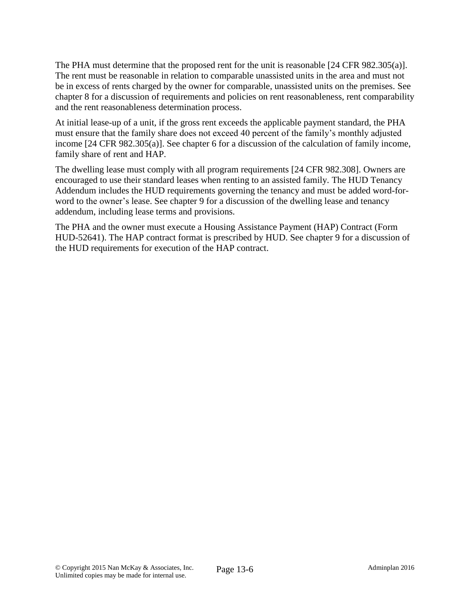The PHA must determine that the proposed rent for the unit is reasonable [24 CFR 982.305(a)]. The rent must be reasonable in relation to comparable unassisted units in the area and must not be in excess of rents charged by the owner for comparable, unassisted units on the premises. See chapter 8 for a discussion of requirements and policies on rent reasonableness, rent comparability and the rent reasonableness determination process.

At initial lease-up of a unit, if the gross rent exceeds the applicable payment standard, the PHA must ensure that the family share does not exceed 40 percent of the family's monthly adjusted income [24 CFR 982.305(a)]. See chapter 6 for a discussion of the calculation of family income, family share of rent and HAP.

The dwelling lease must comply with all program requirements [24 CFR 982.308]. Owners are encouraged to use their standard leases when renting to an assisted family. The HUD Tenancy Addendum includes the HUD requirements governing the tenancy and must be added word-forword to the owner's lease. See chapter 9 for a discussion of the dwelling lease and tenancy addendum, including lease terms and provisions.

The PHA and the owner must execute a Housing Assistance Payment (HAP) Contract (Form HUD-52641). The HAP contract format is prescribed by HUD. See chapter 9 for a discussion of the HUD requirements for execution of the HAP contract.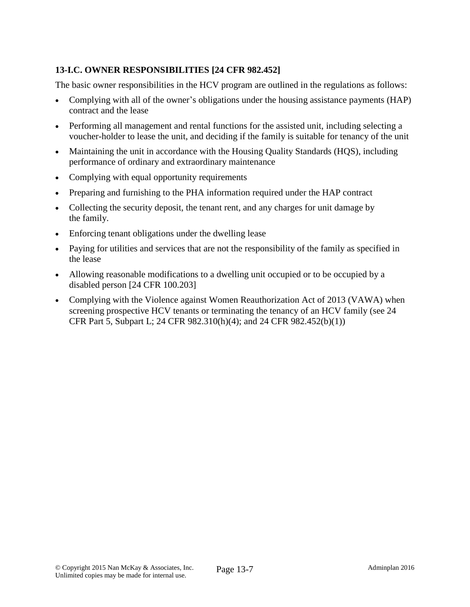# **13-I.C. OWNER RESPONSIBILITIES [24 CFR 982.452]**

The basic owner responsibilities in the HCV program are outlined in the regulations as follows:

- Complying with all of the owner's obligations under the housing assistance payments (HAP) contract and the lease
- Performing all management and rental functions for the assisted unit, including selecting a voucher-holder to lease the unit, and deciding if the family is suitable for tenancy of the unit
- Maintaining the unit in accordance with the Housing Quality Standards (HQS), including performance of ordinary and extraordinary maintenance
- Complying with equal opportunity requirements
- Preparing and furnishing to the PHA information required under the HAP contract
- Collecting the security deposit, the tenant rent, and any charges for unit damage by the family.
- Enforcing tenant obligations under the dwelling lease
- Paying for utilities and services that are not the responsibility of the family as specified in the lease
- Allowing reasonable modifications to a dwelling unit occupied or to be occupied by a disabled person [24 CFR 100.203]
- Complying with the Violence against Women Reauthorization Act of 2013 (VAWA) when screening prospective HCV tenants or terminating the tenancy of an HCV family (see 24 CFR Part 5, Subpart L; 24 CFR 982.310(h)(4); and 24 CFR 982.452(b)(1))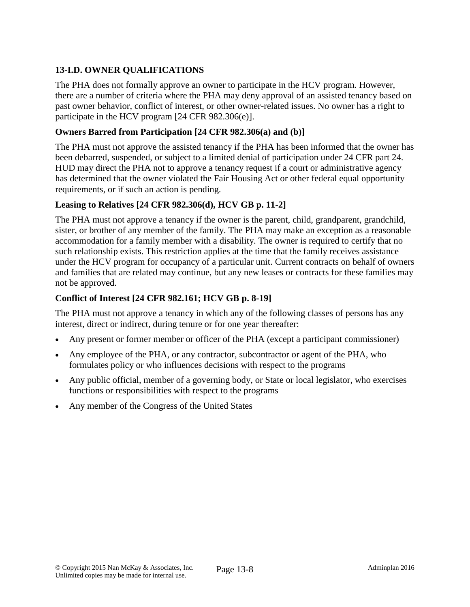# **13-I.D. OWNER QUALIFICATIONS**

The PHA does not formally approve an owner to participate in the HCV program. However, there are a number of criteria where the PHA may deny approval of an assisted tenancy based on past owner behavior, conflict of interest, or other owner-related issues. No owner has a right to participate in the HCV program [24 CFR 982.306(e)].

### **Owners Barred from Participation [24 CFR 982.306(a) and (b)]**

The PHA must not approve the assisted tenancy if the PHA has been informed that the owner has been debarred, suspended, or subject to a limited denial of participation under 24 CFR part 24. HUD may direct the PHA not to approve a tenancy request if a court or administrative agency has determined that the owner violated the Fair Housing Act or other federal equal opportunity requirements, or if such an action is pending.

## **Leasing to Relatives [24 CFR 982.306(d), HCV GB p. 11-2]**

The PHA must not approve a tenancy if the owner is the parent, child, grandparent, grandchild, sister, or brother of any member of the family. The PHA may make an exception as a reasonable accommodation for a family member with a disability. The owner is required to certify that no such relationship exists. This restriction applies at the time that the family receives assistance under the HCV program for occupancy of a particular unit. Current contracts on behalf of owners and families that are related may continue, but any new leases or contracts for these families may not be approved.

## **Conflict of Interest [24 CFR 982.161; HCV GB p. 8-19]**

The PHA must not approve a tenancy in which any of the following classes of persons has any interest, direct or indirect, during tenure or for one year thereafter:

- Any present or former member or officer of the PHA (except a participant commissioner)
- Any employee of the PHA, or any contractor, subcontractor or agent of the PHA, who formulates policy or who influences decisions with respect to the programs
- Any public official, member of a governing body, or State or local legislator, who exercises functions or responsibilities with respect to the programs
- Any member of the Congress of the United States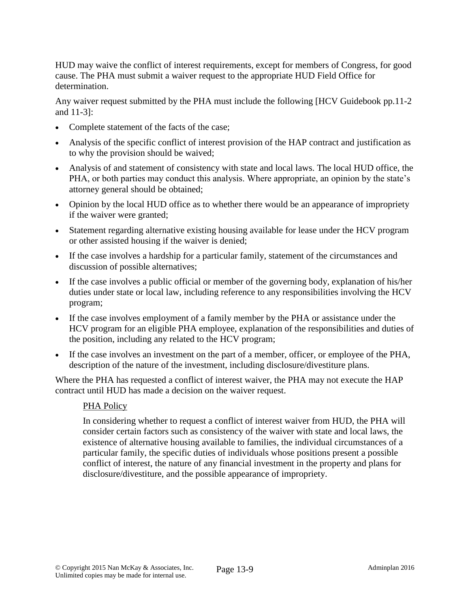HUD may waive the conflict of interest requirements, except for members of Congress, for good cause. The PHA must submit a waiver request to the appropriate HUD Field Office for determination.

Any waiver request submitted by the PHA must include the following [HCV Guidebook pp.11-2] and 11-3]:

- Complete statement of the facts of the case;
- Analysis of the specific conflict of interest provision of the HAP contract and justification as to why the provision should be waived;
- Analysis of and statement of consistency with state and local laws. The local HUD office, the PHA, or both parties may conduct this analysis. Where appropriate, an opinion by the state's attorney general should be obtained;
- Opinion by the local HUD office as to whether there would be an appearance of impropriety if the waiver were granted;
- Statement regarding alternative existing housing available for lease under the HCV program or other assisted housing if the waiver is denied;
- If the case involves a hardship for a particular family, statement of the circumstances and discussion of possible alternatives;
- If the case involves a public official or member of the governing body, explanation of his/her duties under state or local law, including reference to any responsibilities involving the HCV program;
- If the case involves employment of a family member by the PHA or assistance under the HCV program for an eligible PHA employee, explanation of the responsibilities and duties of the position, including any related to the HCV program;
- If the case involves an investment on the part of a member, officer, or employee of the PHA, description of the nature of the investment, including disclosure/divestiture plans.

Where the PHA has requested a conflict of interest waiver, the PHA may not execute the HAP contract until HUD has made a decision on the waiver request.

### PHA Policy

In considering whether to request a conflict of interest waiver from HUD, the PHA will consider certain factors such as consistency of the waiver with state and local laws, the existence of alternative housing available to families, the individual circumstances of a particular family, the specific duties of individuals whose positions present a possible conflict of interest, the nature of any financial investment in the property and plans for disclosure/divestiture, and the possible appearance of impropriety.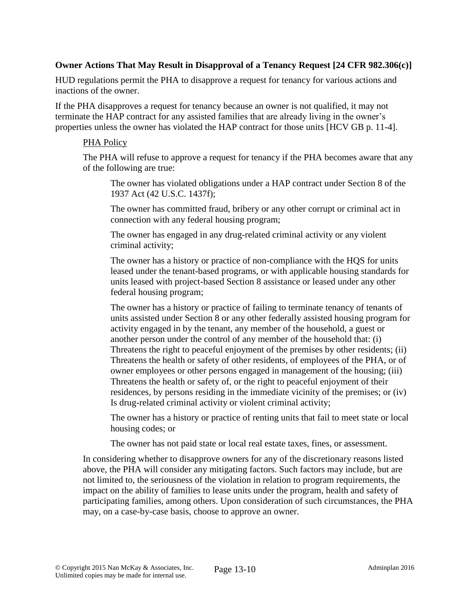#### **Owner Actions That May Result in Disapproval of a Tenancy Request [24 CFR 982.306(c)]**

HUD regulations permit the PHA to disapprove a request for tenancy for various actions and inactions of the owner.

If the PHA disapproves a request for tenancy because an owner is not qualified, it may not terminate the HAP contract for any assisted families that are already living in the owner's properties unless the owner has violated the HAP contract for those units [HCV GB p. 11-4].

#### PHA Policy

The PHA will refuse to approve a request for tenancy if the PHA becomes aware that any of the following are true:

The owner has violated obligations under a HAP contract under Section 8 of the 1937 Act (42 U.S.C. 1437f);

The owner has committed fraud, bribery or any other corrupt or criminal act in connection with any federal housing program;

The owner has engaged in any drug-related criminal activity or any violent criminal activity;

The owner has a history or practice of non-compliance with the HQS for units leased under the tenant-based programs, or with applicable housing standards for units leased with project-based Section 8 assistance or leased under any other federal housing program;

The owner has a history or practice of failing to terminate tenancy of tenants of units assisted under Section 8 or any other federally assisted housing program for activity engaged in by the tenant, any member of the household, a guest or another person under the control of any member of the household that: (i) Threatens the right to peaceful enjoyment of the premises by other residents; (ii) Threatens the health or safety of other residents, of employees of the PHA, or of owner employees or other persons engaged in management of the housing; (iii) Threatens the health or safety of, or the right to peaceful enjoyment of their residences, by persons residing in the immediate vicinity of the premises; or (iv) Is drug-related criminal activity or violent criminal activity;

The owner has a history or practice of renting units that fail to meet state or local housing codes; or

The owner has not paid state or local real estate taxes, fines, or assessment.

In considering whether to disapprove owners for any of the discretionary reasons listed above, the PHA will consider any mitigating factors. Such factors may include, but are not limited to, the seriousness of the violation in relation to program requirements, the impact on the ability of families to lease units under the program, health and safety of participating families, among others. Upon consideration of such circumstances, the PHA may, on a case-by-case basis, choose to approve an owner.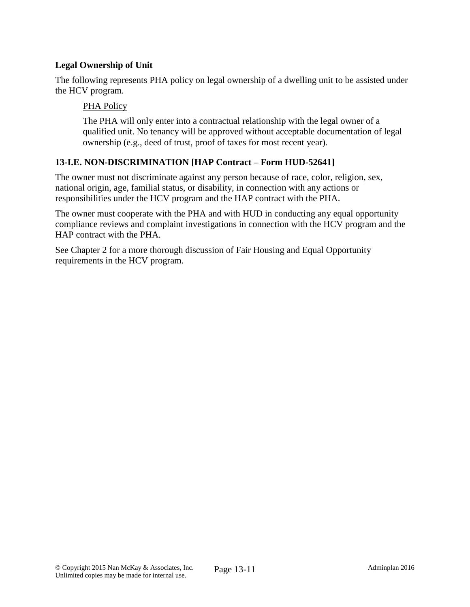## **Legal Ownership of Unit**

The following represents PHA policy on legal ownership of a dwelling unit to be assisted under the HCV program.

#### PHA Policy

The PHA will only enter into a contractual relationship with the legal owner of a qualified unit. No tenancy will be approved without acceptable documentation of legal ownership (e.g., deed of trust, proof of taxes for most recent year).

### **13-I.E. NON-DISCRIMINATION [HAP Contract – Form HUD-52641]**

The owner must not discriminate against any person because of race, color, religion, sex, national origin, age, familial status, or disability, in connection with any actions or responsibilities under the HCV program and the HAP contract with the PHA.

The owner must cooperate with the PHA and with HUD in conducting any equal opportunity compliance reviews and complaint investigations in connection with the HCV program and the HAP contract with the PHA.

See Chapter 2 for a more thorough discussion of Fair Housing and Equal Opportunity requirements in the HCV program.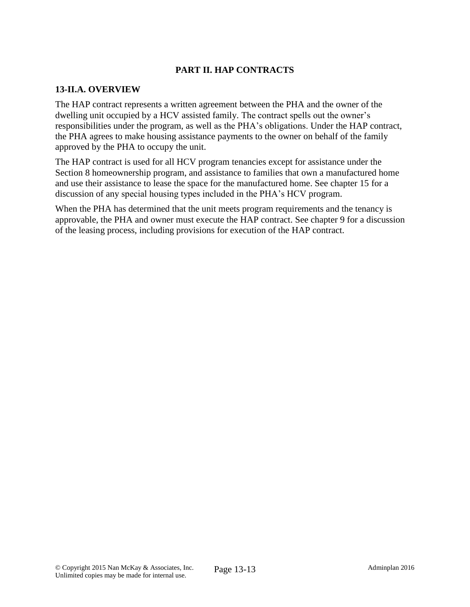## **PART II. HAP CONTRACTS**

#### **13-II.A. OVERVIEW**

The HAP contract represents a written agreement between the PHA and the owner of the dwelling unit occupied by a HCV assisted family. The contract spells out the owner's responsibilities under the program, as well as the PHA's obligations. Under the HAP contract, the PHA agrees to make housing assistance payments to the owner on behalf of the family approved by the PHA to occupy the unit.

The HAP contract is used for all HCV program tenancies except for assistance under the Section 8 homeownership program, and assistance to families that own a manufactured home and use their assistance to lease the space for the manufactured home. See chapter 15 for a discussion of any special housing types included in the PHA's HCV program.

When the PHA has determined that the unit meets program requirements and the tenancy is approvable, the PHA and owner must execute the HAP contract. See chapter 9 for a discussion of the leasing process, including provisions for execution of the HAP contract.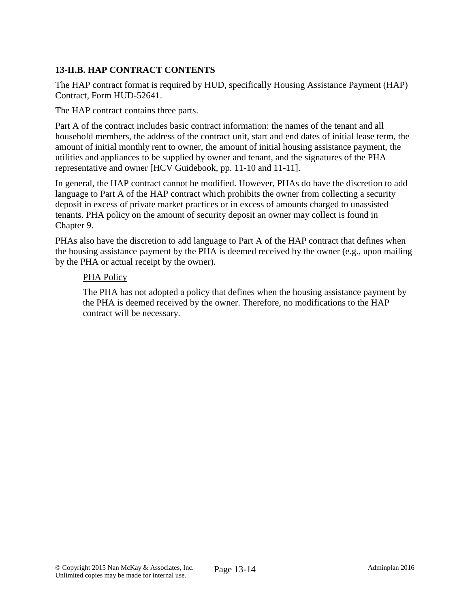## **13-II.B. HAP CONTRACT CONTENTS**

The HAP contract format is required by HUD, specifically Housing Assistance Payment (HAP) Contract, Form HUD-52641.

The HAP contract contains three parts.

Part A of the contract includes basic contract information: the names of the tenant and all household members, the address of the contract unit, start and end dates of initial lease term, the amount of initial monthly rent to owner, the amount of initial housing assistance payment, the utilities and appliances to be supplied by owner and tenant, and the signatures of the PHA representative and owner [HCV Guidebook, pp. 11-10 and 11-11].

In general, the HAP contract cannot be modified. However, PHAs do have the discretion to add language to Part A of the HAP contract which prohibits the owner from collecting a security deposit in excess of private market practices or in excess of amounts charged to unassisted tenants. PHA policy on the amount of security deposit an owner may collect is found in Chapter 9.

PHAs also have the discretion to add language to Part A of the HAP contract that defines when the housing assistance payment by the PHA is deemed received by the owner (e.g., upon mailing by the PHA or actual receipt by the owner).

#### PHA Policy

The PHA has not adopted a policy that defines when the housing assistance payment by the PHA is deemed received by the owner. Therefore, no modifications to the HAP contract will be necessary.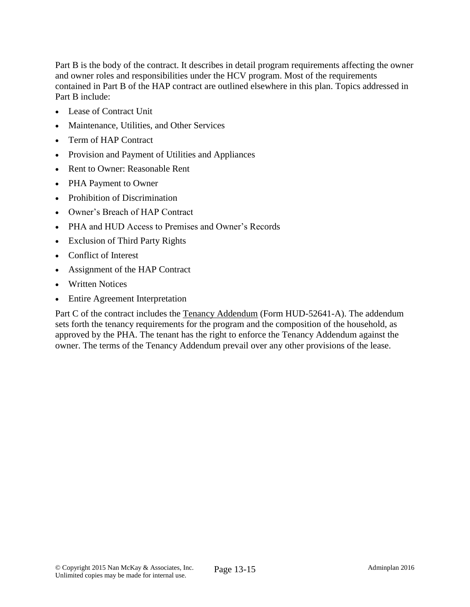Part B is the body of the contract. It describes in detail program requirements affecting the owner and owner roles and responsibilities under the HCV program. Most of the requirements contained in Part B of the HAP contract are outlined elsewhere in this plan. Topics addressed in Part B include:

- Lease of Contract Unit
- Maintenance, Utilities, and Other Services
- Term of HAP Contract
- Provision and Payment of Utilities and Appliances
- Rent to Owner: Reasonable Rent
- PHA Payment to Owner
- Prohibition of Discrimination
- Owner's Breach of HAP Contract
- PHA and HUD Access to Premises and Owner's Records
- Exclusion of Third Party Rights
- Conflict of Interest
- Assignment of the HAP Contract
- Written Notices
- Entire Agreement Interpretation

Part C of the contract includes the Tenancy Addendum (Form HUD-52641-A). The addendum sets forth the tenancy requirements for the program and the composition of the household, as approved by the PHA. The tenant has the right to enforce the Tenancy Addendum against the owner. The terms of the Tenancy Addendum prevail over any other provisions of the lease.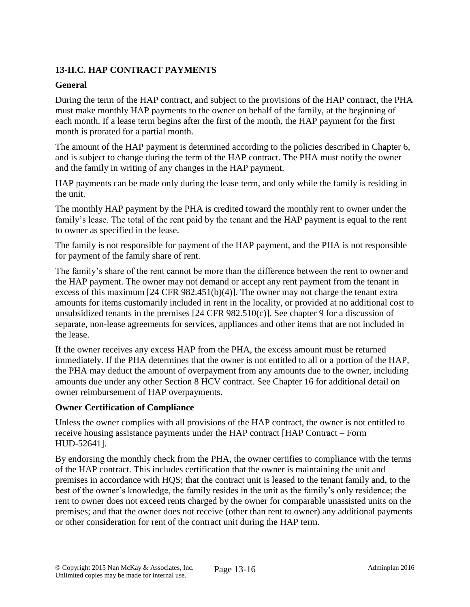# **13-II.C. HAP CONTRACT PAYMENTS**

## **General**

During the term of the HAP contract, and subject to the provisions of the HAP contract, the PHA must make monthly HAP payments to the owner on behalf of the family, at the beginning of each month. If a lease term begins after the first of the month, the HAP payment for the first month is prorated for a partial month.

The amount of the HAP payment is determined according to the policies described in Chapter 6, and is subject to change during the term of the HAP contract. The PHA must notify the owner and the family in writing of any changes in the HAP payment.

HAP payments can be made only during the lease term, and only while the family is residing in the unit.

The monthly HAP payment by the PHA is credited toward the monthly rent to owner under the family's lease. The total of the rent paid by the tenant and the HAP payment is equal to the rent to owner as specified in the lease.

The family is not responsible for payment of the HAP payment, and the PHA is not responsible for payment of the family share of rent.

The family's share of the rent cannot be more than the difference between the rent to owner and the HAP payment. The owner may not demand or accept any rent payment from the tenant in excess of this maximum [24 CFR 982.451(b)(4)]. The owner may not charge the tenant extra amounts for items customarily included in rent in the locality, or provided at no additional cost to unsubsidized tenants in the premises [24 CFR 982.510(c)]. See chapter 9 for a discussion of separate, non-lease agreements for services, appliances and other items that are not included in the lease.

If the owner receives any excess HAP from the PHA, the excess amount must be returned immediately. If the PHA determines that the owner is not entitled to all or a portion of the HAP, the PHA may deduct the amount of overpayment from any amounts due to the owner, including amounts due under any other Section 8 HCV contract. See Chapter 16 for additional detail on owner reimbursement of HAP overpayments.

### **Owner Certification of Compliance**

Unless the owner complies with all provisions of the HAP contract, the owner is not entitled to receive housing assistance payments under the HAP contract [HAP Contract – Form HUD-52641].

By endorsing the monthly check from the PHA, the owner certifies to compliance with the terms of the HAP contract. This includes certification that the owner is maintaining the unit and premises in accordance with HQS; that the contract unit is leased to the tenant family and, to the best of the owner's knowledge, the family resides in the unit as the family's only residence; the rent to owner does not exceed rents charged by the owner for comparable unassisted units on the premises; and that the owner does not receive (other than rent to owner) any additional payments or other consideration for rent of the contract unit during the HAP term.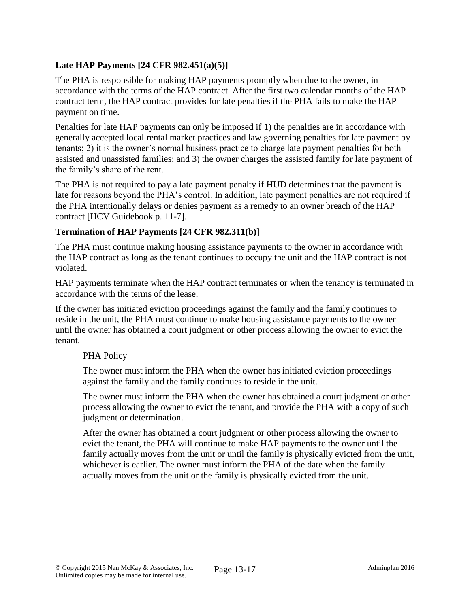# **Late HAP Payments [24 CFR 982.451(a)(5)]**

The PHA is responsible for making HAP payments promptly when due to the owner, in accordance with the terms of the HAP contract. After the first two calendar months of the HAP contract term, the HAP contract provides for late penalties if the PHA fails to make the HAP payment on time.

Penalties for late HAP payments can only be imposed if 1) the penalties are in accordance with generally accepted local rental market practices and law governing penalties for late payment by tenants; 2) it is the owner's normal business practice to charge late payment penalties for both assisted and unassisted families; and 3) the owner charges the assisted family for late payment of the family's share of the rent.

The PHA is not required to pay a late payment penalty if HUD determines that the payment is late for reasons beyond the PHA's control. In addition, late payment penalties are not required if the PHA intentionally delays or denies payment as a remedy to an owner breach of the HAP contract [HCV Guidebook p. 11-7].

### **Termination of HAP Payments [24 CFR 982.311(b)]**

The PHA must continue making housing assistance payments to the owner in accordance with the HAP contract as long as the tenant continues to occupy the unit and the HAP contract is not violated.

HAP payments terminate when the HAP contract terminates or when the tenancy is terminated in accordance with the terms of the lease.

If the owner has initiated eviction proceedings against the family and the family continues to reside in the unit, the PHA must continue to make housing assistance payments to the owner until the owner has obtained a court judgment or other process allowing the owner to evict the tenant.

#### PHA Policy

The owner must inform the PHA when the owner has initiated eviction proceedings against the family and the family continues to reside in the unit.

The owner must inform the PHA when the owner has obtained a court judgment or other process allowing the owner to evict the tenant, and provide the PHA with a copy of such judgment or determination.

After the owner has obtained a court judgment or other process allowing the owner to evict the tenant, the PHA will continue to make HAP payments to the owner until the family actually moves from the unit or until the family is physically evicted from the unit, whichever is earlier. The owner must inform the PHA of the date when the family actually moves from the unit or the family is physically evicted from the unit.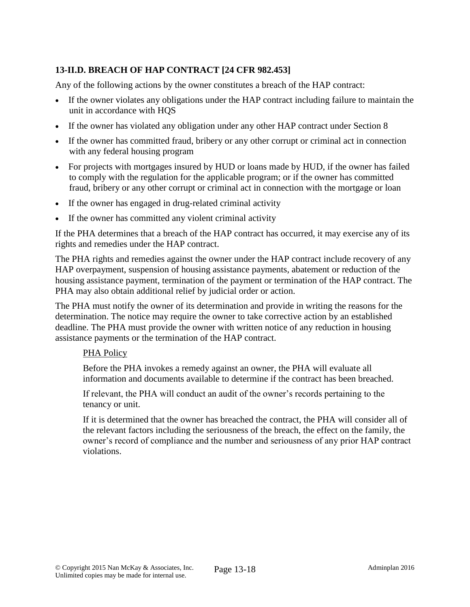# **13-II.D. BREACH OF HAP CONTRACT [24 CFR 982.453]**

Any of the following actions by the owner constitutes a breach of the HAP contract:

- If the owner violates any obligations under the HAP contract including failure to maintain the unit in accordance with HQS
- If the owner has violated any obligation under any other HAP contract under Section 8
- If the owner has committed fraud, bribery or any other corrupt or criminal act in connection with any federal housing program
- For projects with mortgages insured by HUD or loans made by HUD, if the owner has failed to comply with the regulation for the applicable program; or if the owner has committed fraud, bribery or any other corrupt or criminal act in connection with the mortgage or loan
- If the owner has engaged in drug-related criminal activity
- If the owner has committed any violent criminal activity

If the PHA determines that a breach of the HAP contract has occurred, it may exercise any of its rights and remedies under the HAP contract.

The PHA rights and remedies against the owner under the HAP contract include recovery of any HAP overpayment, suspension of housing assistance payments, abatement or reduction of the housing assistance payment, termination of the payment or termination of the HAP contract. The PHA may also obtain additional relief by judicial order or action.

The PHA must notify the owner of its determination and provide in writing the reasons for the determination. The notice may require the owner to take corrective action by an established deadline. The PHA must provide the owner with written notice of any reduction in housing assistance payments or the termination of the HAP contract.

#### PHA Policy

Before the PHA invokes a remedy against an owner, the PHA will evaluate all information and documents available to determine if the contract has been breached.

If relevant, the PHA will conduct an audit of the owner's records pertaining to the tenancy or unit.

If it is determined that the owner has breached the contract, the PHA will consider all of the relevant factors including the seriousness of the breach, the effect on the family, the owner's record of compliance and the number and seriousness of any prior HAP contract violations.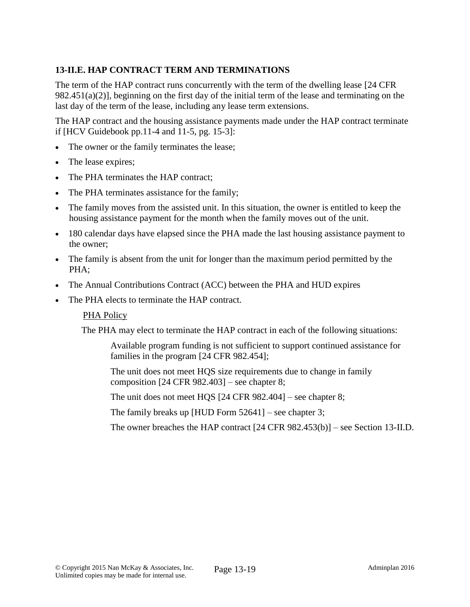# **13-II.E. HAP CONTRACT TERM AND TERMINATIONS**

The term of the HAP contract runs concurrently with the term of the dwelling lease [24 CFR 982.451(a)(2)], beginning on the first day of the initial term of the lease and terminating on the last day of the term of the lease, including any lease term extensions.

The HAP contract and the housing assistance payments made under the HAP contract terminate if [HCV Guidebook pp.11-4 and 11-5, pg. 15-3]:

- The owner or the family terminates the lease;
- The lease expires;
- The PHA terminates the HAP contract;
- The PHA terminates assistance for the family;
- The family moves from the assisted unit. In this situation, the owner is entitled to keep the housing assistance payment for the month when the family moves out of the unit.
- 180 calendar days have elapsed since the PHA made the last housing assistance payment to the owner;
- The family is absent from the unit for longer than the maximum period permitted by the PHA;
- The Annual Contributions Contract (ACC) between the PHA and HUD expires
- The PHA elects to terminate the HAP contract.

#### PHA Policy

The PHA may elect to terminate the HAP contract in each of the following situations:

Available program funding is not sufficient to support continued assistance for families in the program [24 CFR 982.454];

The unit does not meet HQS size requirements due to change in family composition [24 CFR 982.403] – see chapter 8;

The unit does not meet HQS [24 CFR 982.404] – see chapter 8;

The family breaks up [HUD Form  $52641$ ] – see chapter 3;

The owner breaches the HAP contract [24 CFR 982.453(b)] – see Section 13-II.D.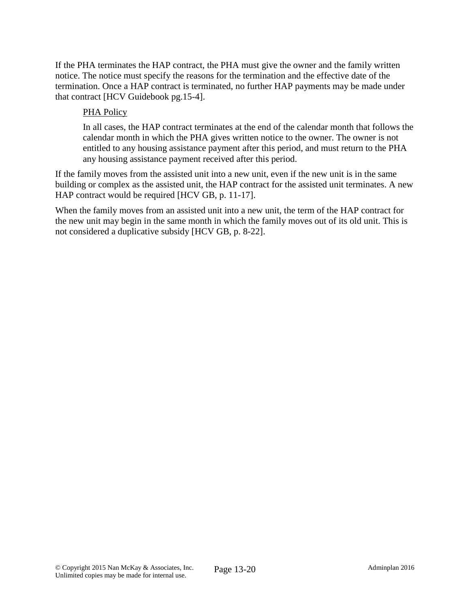If the PHA terminates the HAP contract, the PHA must give the owner and the family written notice. The notice must specify the reasons for the termination and the effective date of the termination. Once a HAP contract is terminated, no further HAP payments may be made under that contract [HCV Guidebook pg.15-4].

## PHA Policy

In all cases, the HAP contract terminates at the end of the calendar month that follows the calendar month in which the PHA gives written notice to the owner. The owner is not entitled to any housing assistance payment after this period, and must return to the PHA any housing assistance payment received after this period.

If the family moves from the assisted unit into a new unit, even if the new unit is in the same building or complex as the assisted unit, the HAP contract for the assisted unit terminates. A new HAP contract would be required [HCV GB, p. 11-17].

When the family moves from an assisted unit into a new unit, the term of the HAP contract for the new unit may begin in the same month in which the family moves out of its old unit. This is not considered a duplicative subsidy [HCV GB, p. 8-22].